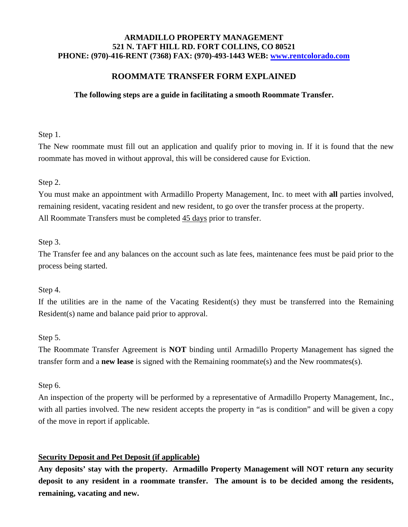### **ARMADILLO PROPERTY MANAGEMENT 521 N. TAFT HILL RD. FORT COLLINS, CO 80521 PHONE: (970)-416-RENT (7368) FAX: (970)-493-1443 WEB: [www.rentcolorado.com](http://www.rentcolorado.com/)**

# **ROOMMATE TRANSFER FORM EXPLAINED**

### **The following steps are a guide in facilitating a smooth Roommate Transfer.**

## Step 1.

The New roommate must fill out an application and qualify prior to moving in. If it is found that the new roommate has moved in without approval, this will be considered cause for Eviction.

# Step 2.

You must make an appointment with Armadillo Property Management, Inc. to meet with **all** parties involved, remaining resident, vacating resident and new resident, to go over the transfer process at the property. All Roommate Transfers must be completed  $\frac{45 \text{ days}}{20 \text{ days}}$  prior to transfer.

## Step 3.

The Transfer fee and any balances on the account such as late fees, maintenance fees must be paid prior to the process being started.

#### Step 4.

If the utilities are in the name of the Vacating Resident(s) they must be transferred into the Remaining Resident(s) name and balance paid prior to approval.

# Step 5.

The Roommate Transfer Agreement is **NOT** binding until Armadillo Property Management has signed the transfer form and a **new lease** is signed with the Remaining roommate(s) and the New roommates(s).

# Step 6.

An inspection of the property will be performed by a representative of Armadillo Property Management, Inc., with all parties involved. The new resident accepts the property in "as is condition" and will be given a copy of the move in report if applicable.

# **Security Deposit and Pet Deposit (if applicable)**

**Any deposits' stay with the property. Armadillo Property Management will NOT return any security deposit to any resident in a roommate transfer. The amount is to be decided among the residents, remaining, vacating and new.**